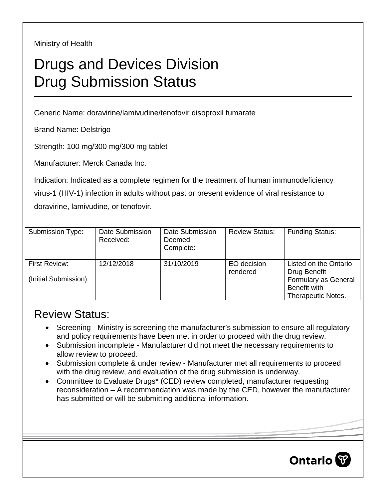Ministry of Health

## Drugs and Devices Division Drug Submission Status

Generic Name: doravirine/lamivudine/tenofovir disoproxil fumarate

Brand Name: Delstrigo

Strength: 100 mg/300 mg/300 mg tablet

Manufacturer: Merck Canada Inc.

Indication: Indicated as a complete regimen for the treatment of human immunodeficiency virus-1 (HIV-1) infection in adults without past or present evidence of viral resistance to doravirine, lamivudine, or tenofovir.

| Submission Type:                      | Date Submission<br>Received: | Date Submission<br>Deemed<br>Complete: | <b>Review Status:</b>   | <b>Funding Status:</b>                                                                              |
|---------------------------------------|------------------------------|----------------------------------------|-------------------------|-----------------------------------------------------------------------------------------------------|
| First Review:<br>(Initial Submission) | 12/12/2018                   | 31/10/2019                             | EO decision<br>rendered | Listed on the Ontario<br>Drug Benefit<br>Formulary as General<br>Benefit with<br>Therapeutic Notes. |

## Review Status:

- Screening Ministry is screening the manufacturer's submission to ensure all regulatory and policy requirements have been met in order to proceed with the drug review.
- Submission incomplete Manufacturer did not meet the necessary requirements to allow review to proceed.
- Submission complete & under review Manufacturer met all requirements to proceed with the drug review, and evaluation of the drug submission is underway.
- Committee to Evaluate Drugs\* (CED) review completed, manufacturer requesting reconsideration – A recommendation was made by the CED, however the manufacturer has submitted or will be submitting additional information.